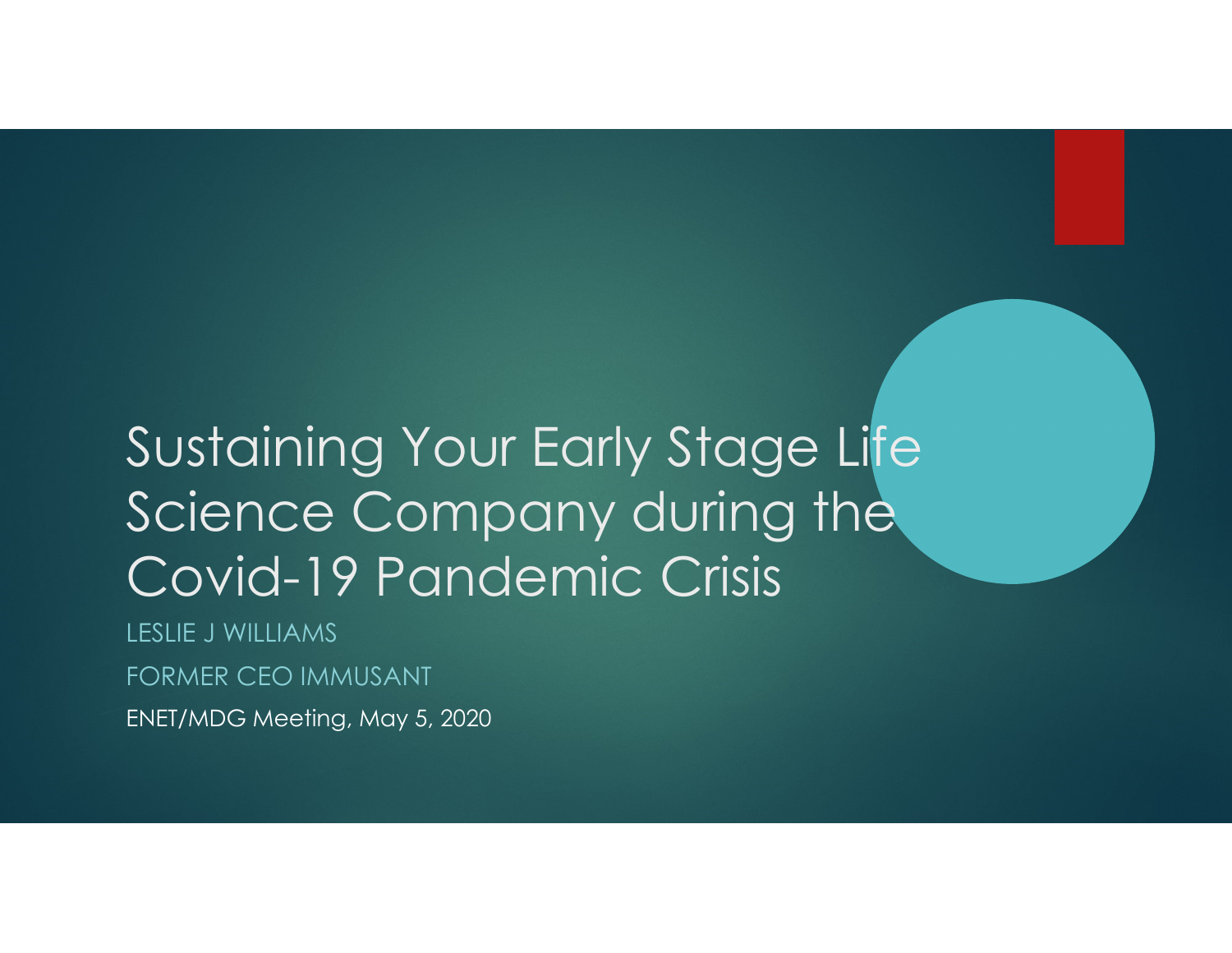# Sustaining Your Early Stage Life Science Company during the Covid-19 Pandemic Crisis

LESLIE J WILLIAMS

FORMER CEO IMMUSANT

ENET/MDG Meeting, May 5, 2020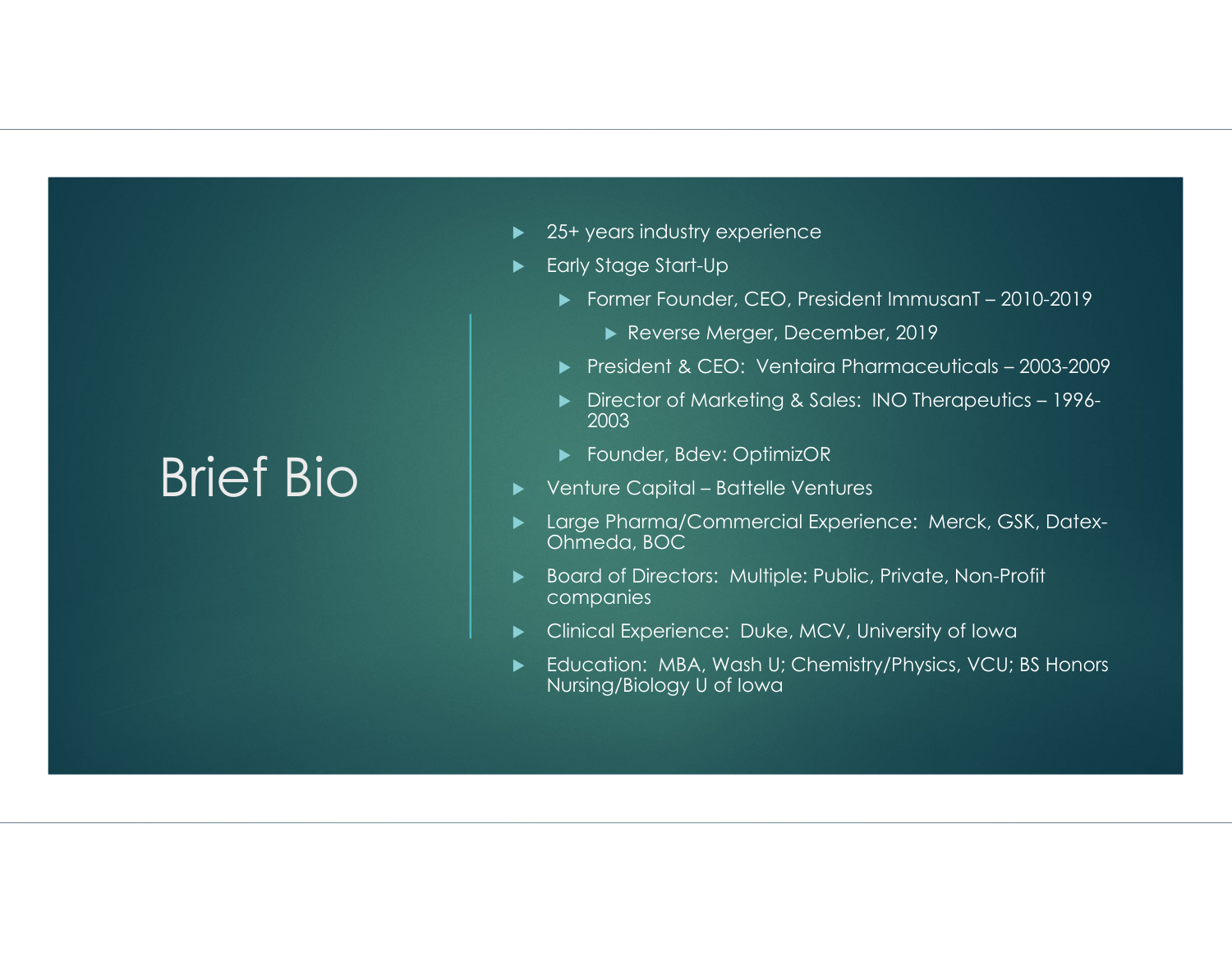### Brief Bio

- ▶ 25+ years industry experience
- Early Stage Start-Up
	- Former Founder, CEO, President ImmusanT 2010-2019
		- Reverse Merger, December, 2019
	- President & CEO: Ventaira Pharmaceuticals 2003-2009
	- Director of Marketing & Sales: INO Therapeutics 1996- 2003
	- ▶ Founder, Bdev: OptimizOR
- Venture Capital Battelle Ventures
- Large Pharma/Commercial Experience: Merck, GSK, Datex-Ohmeda, BOC
- $\blacktriangleright$  Board of Directors: Multiple: Public, Private, Non-Profit companies
- Clinical Experience: Duke, MCV, University of Iowa
- ▶ Education: MBA, Wash U; Chemistry/Physics, VCU; BS Honors Nursing/Biology U of Iowa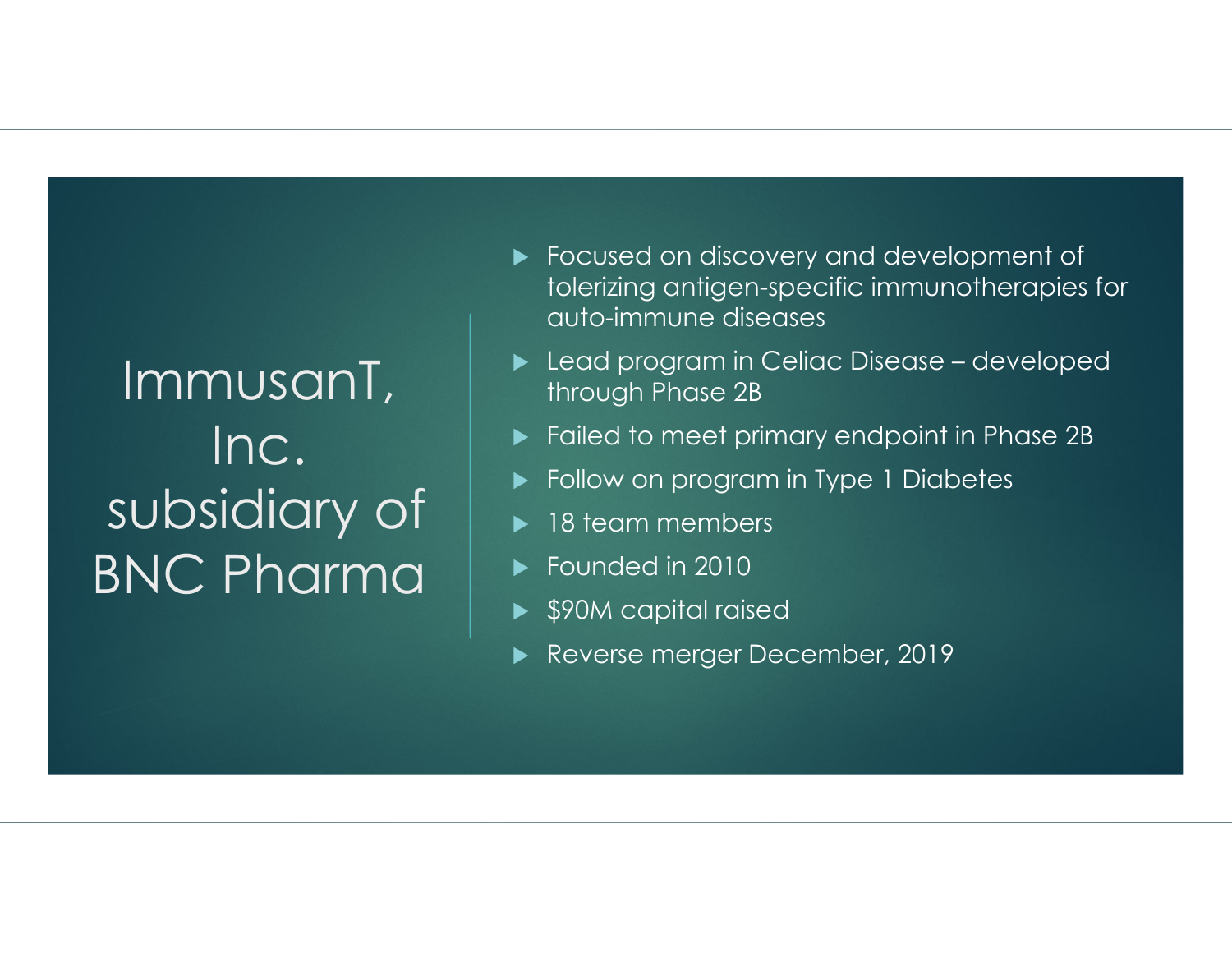# ImmusanT, Inc. subsidiary of BNC Pharma

- Focused on discovery and development of tolerizing antigen-specific immunotherapies for auto-immune diseases
- Lead program in Celiac Disease developed through Phase 2B
- Failed to meet primary endpoint in Phase 2B
- $\blacktriangleright$ Follow on program in Type 1 Diabetes
- $\blacktriangleright$ 18 team members
- ► Founded in 2010
- ▶ \$90M capital raised
- $\blacktriangleright$ Reverse merger December, 2019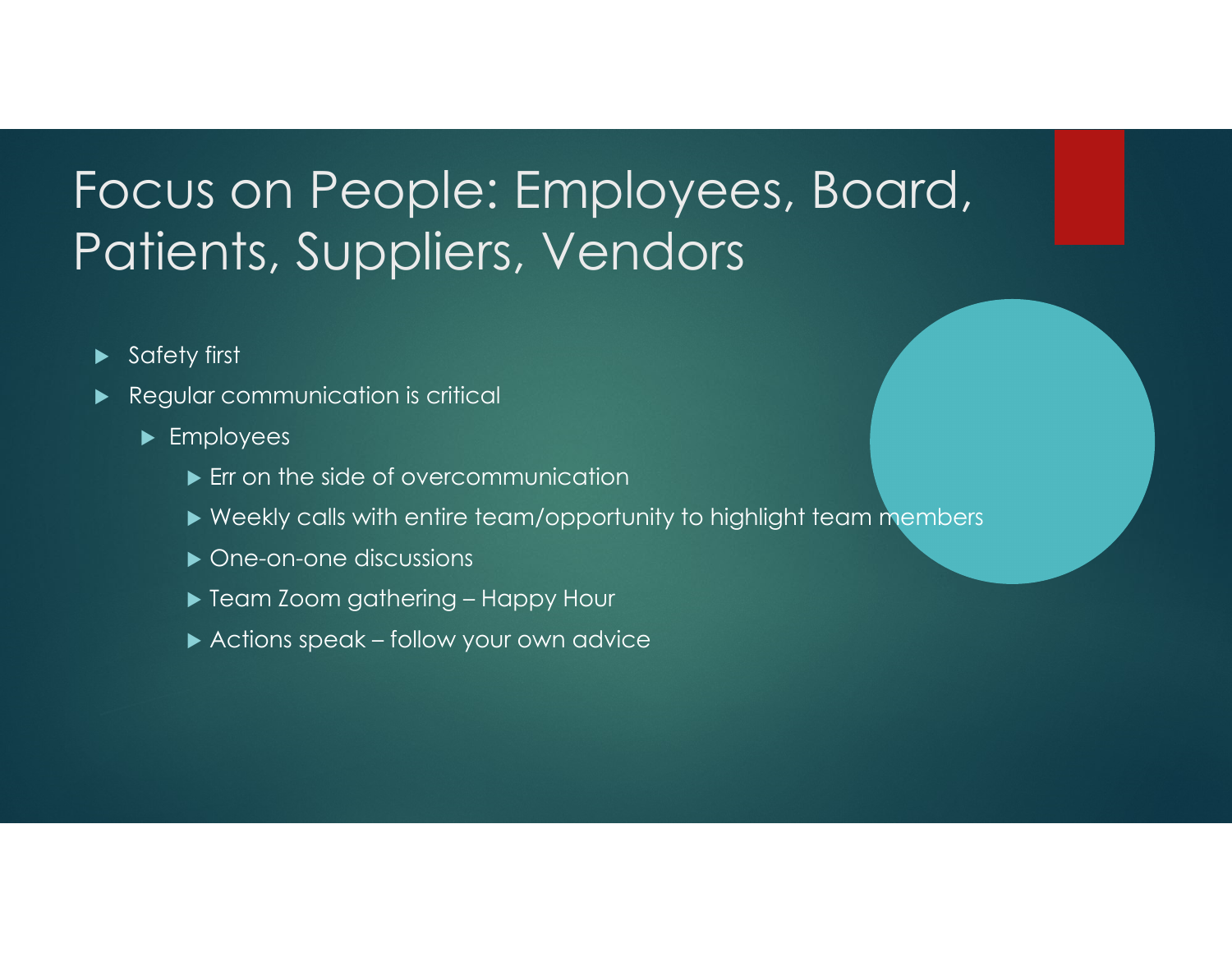### Focus on People: Employees, Board, Patients, Suppliers, Vendors

- $\blacktriangleright$ Safety first
- $\blacktriangleright$  Regular communication is critical
	- ▶ Employees
		- **Err on the side of overcommunication**
		- $\blacktriangleright$  Weekly calls with entire team/opportunity to highlight team members
		- ▶ One-on-one discussions
		- Team Zoom gathering Happy Hour
		- Actions speak follow your own advice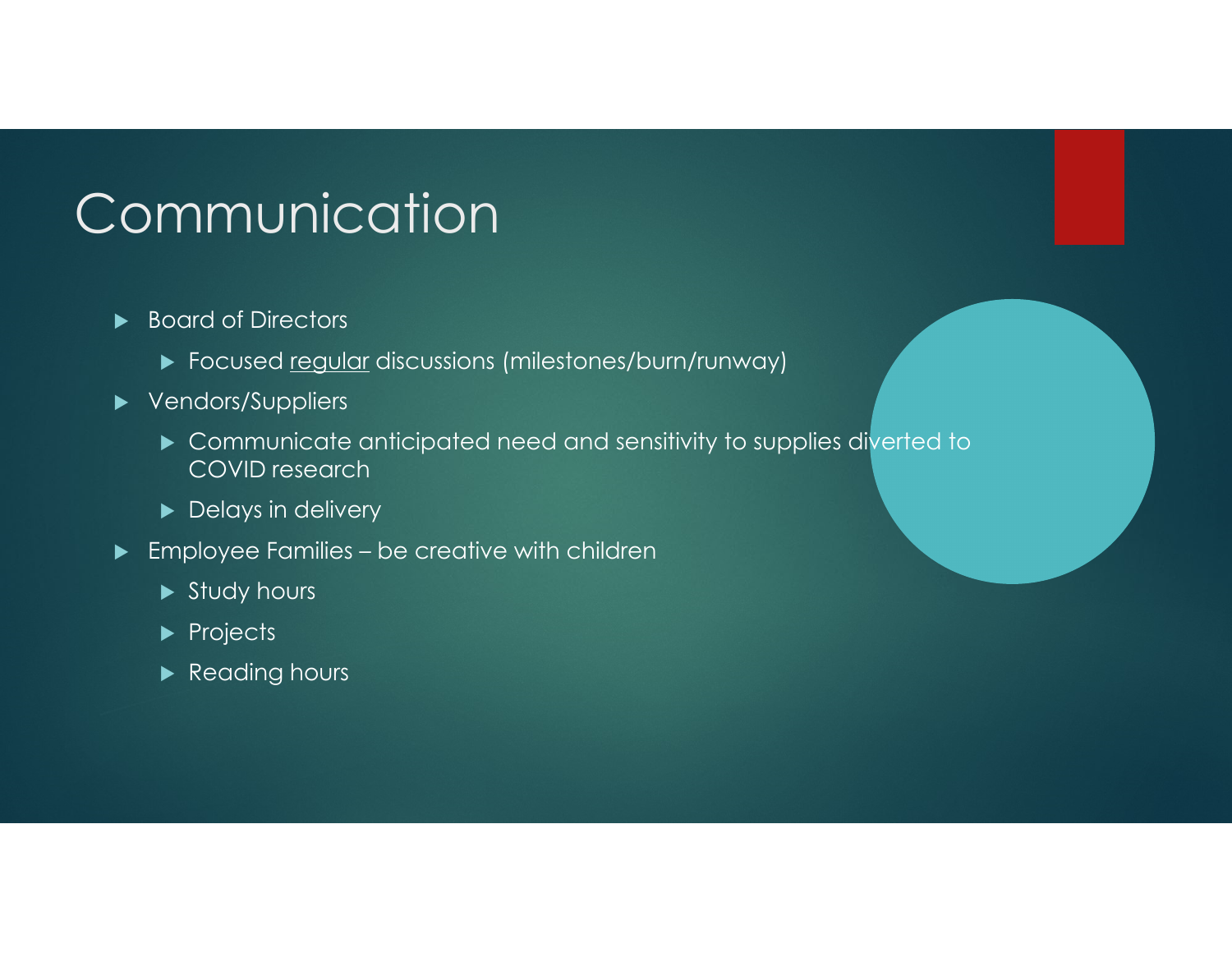# Communication

- ▶ Board of Directors
	- $\blacktriangleright$  Focused <u>regular</u> discussions (milestones/burn/runway)
- ▶ Vendors/Suppliers
	- Communicate anticipated need and sensitivity to supplies diverted to COVID research
	- ▶ Delays in delivery
- $\blacktriangleright$  Employee Families be creative with children
	- $\blacktriangleright$  Study hours
	- $\blacktriangleright$  Projects
	- $\blacktriangleright$  Reading hours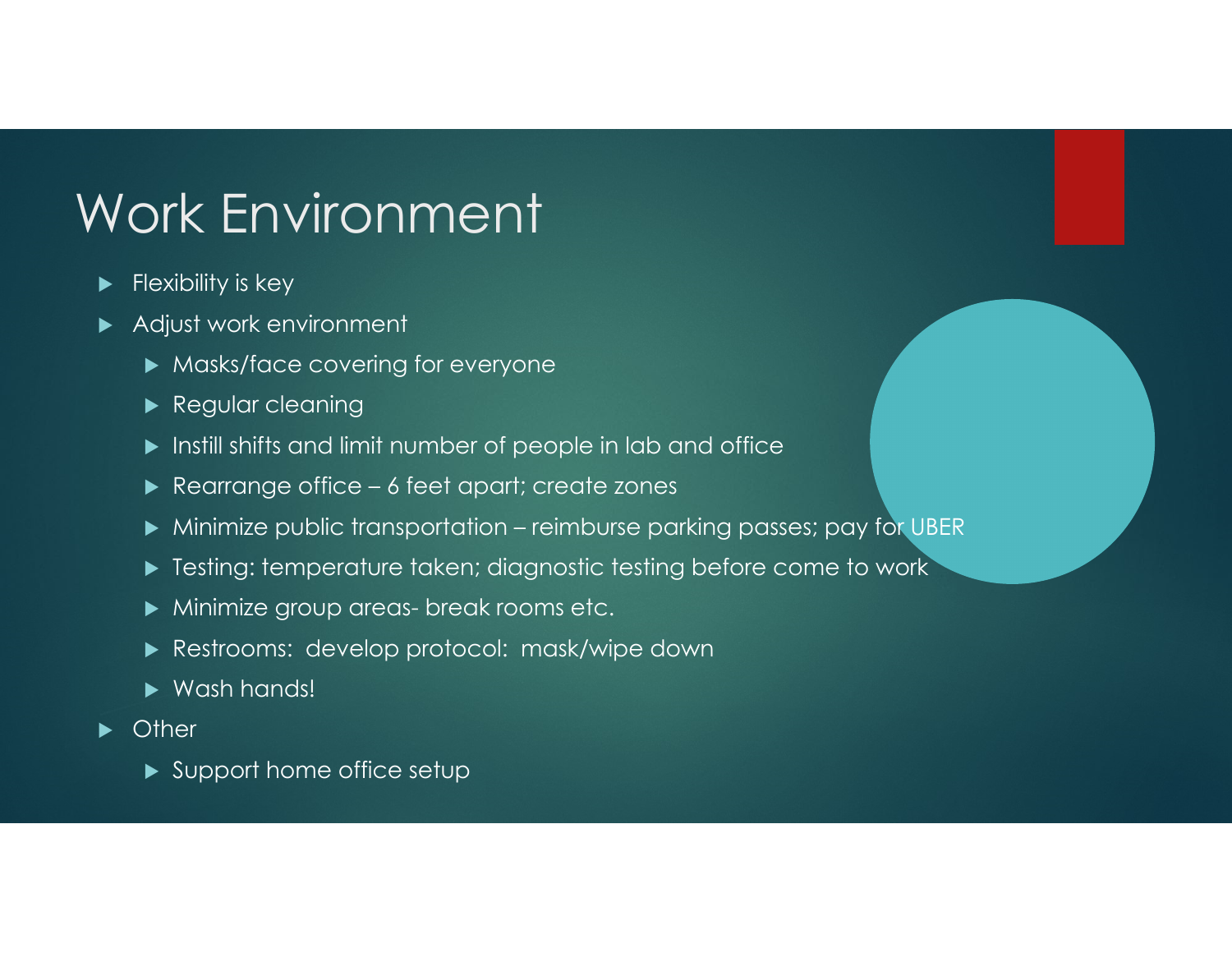# Work Environment

- $\blacktriangleright$ Flexibility is key
- $\blacktriangleright$  Adjust work environment
	- Masks/face covering for everyone
	- **Regular cleaning**
	- $\blacktriangleright$  Instill shifts and limit number of people in lab and office
	- Rearrange office 6 feet apart; create zones
	- Minimize public transportation reimburse parking passes; pay for UBER
	- Testing: temperature taken; diagnostic testing before come to work
	- Minimize group areas- break rooms etc.
	- Restrooms: develop protocol: mask/wipe down
	- ▶ Wash hands!
- $\blacktriangleright$ **Other** 
	- ▶ Support home office setup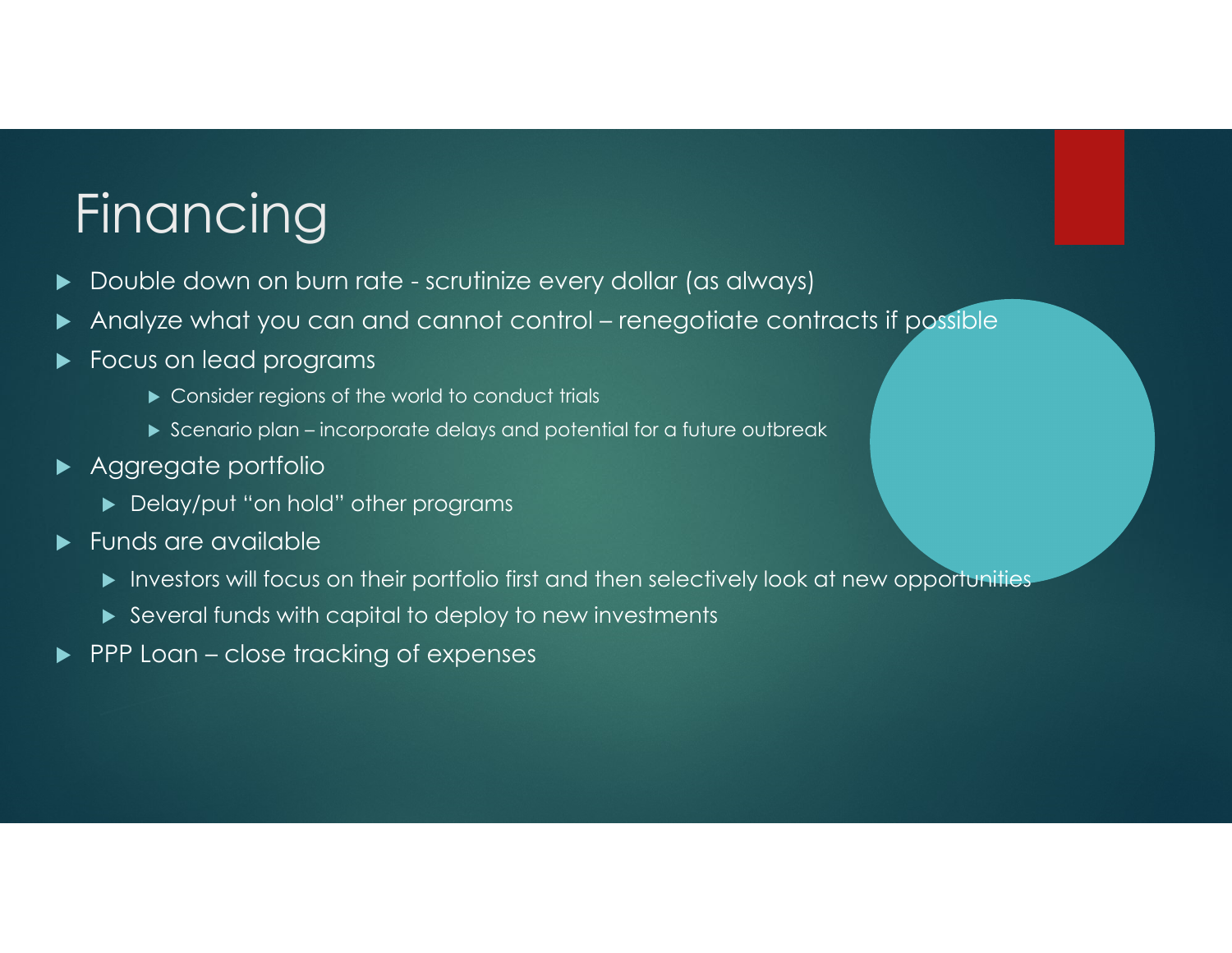# Financing

- $\blacktriangleright$ Double down on burn rate - scrutinize every dollar (as always)
- $\blacktriangleright$ Analyze what you can and cannot control – renegotiate contracts if possible
- $\blacktriangleright$  Focus on lead programs
	- Consider regions of the world to conduct trials
	- $\blacktriangleright$  Scenario plan incorporate delays and potential for a future outbreak
- ▶ Aggregate portfolio
	- Delay/put "on hold" other programs
- $\blacktriangleright$  Funds are available
	- $\blacktriangleright$  Investors will focus on their portfolio first and then selectively look at new opportunities
	- Several funds with capital to deploy to new investments
- $\blacktriangleright$ PPP Loan – close tracking of expenses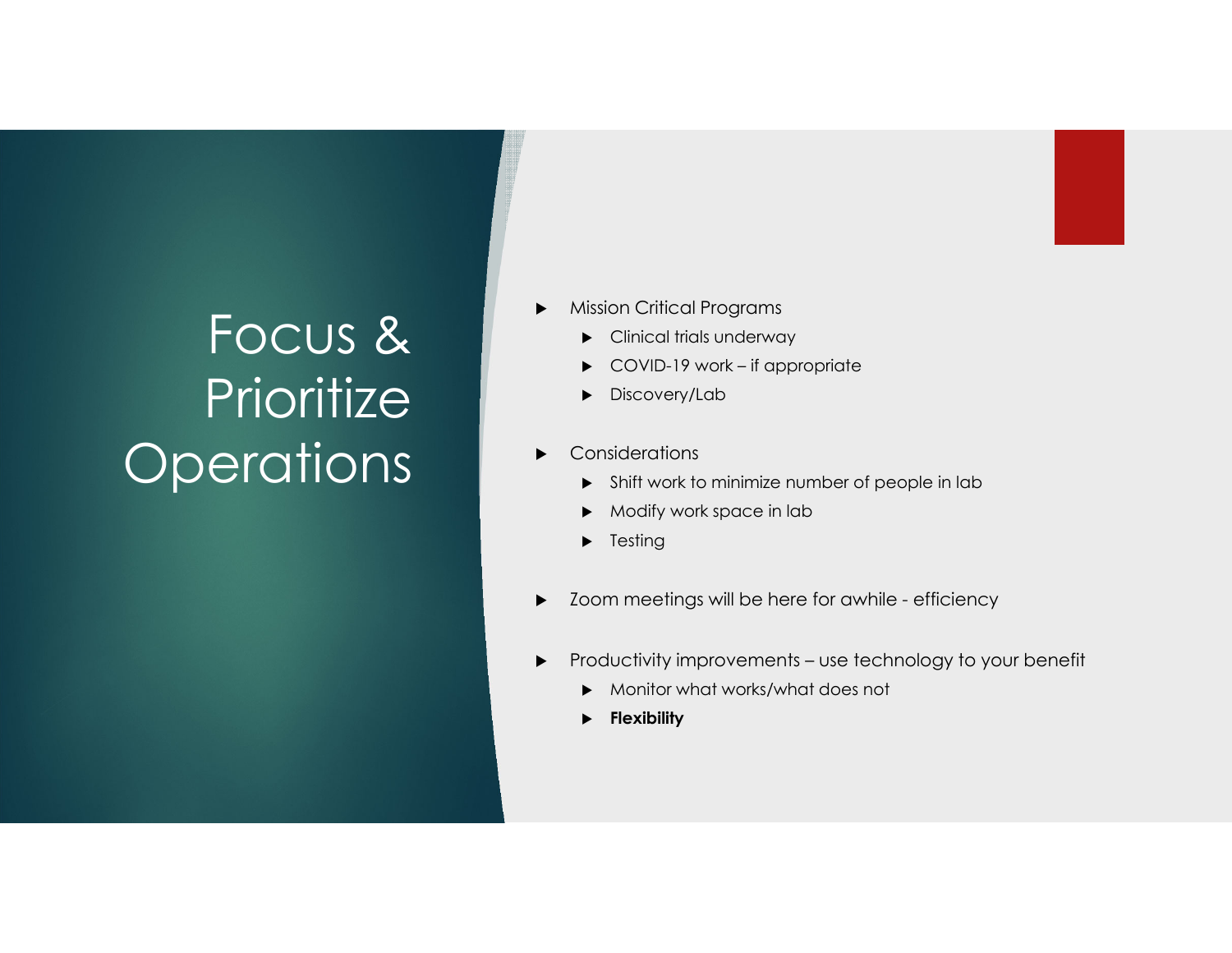# Focus & **Prioritize Operations**

- ▶ Mission Critical Programs
	- Clinical trials underway
	- ▶ COVID-19 work – if appropriate
	- $\blacktriangleright$ Discovery/Lab
- ▶ **Considerations** 
	- Shift work to minimize number of people in lab
	- $\blacktriangleright$ Modify work space in lab
	- $\blacktriangleright$  Testing
- ▶ Zoom meetings will be here for awhile - efficiency
- ▶ Productivity improvements – use technology to your benefit
	- $\blacktriangleright$ Monitor what works/what does not
	- $\blacktriangleright$ **Flexibility**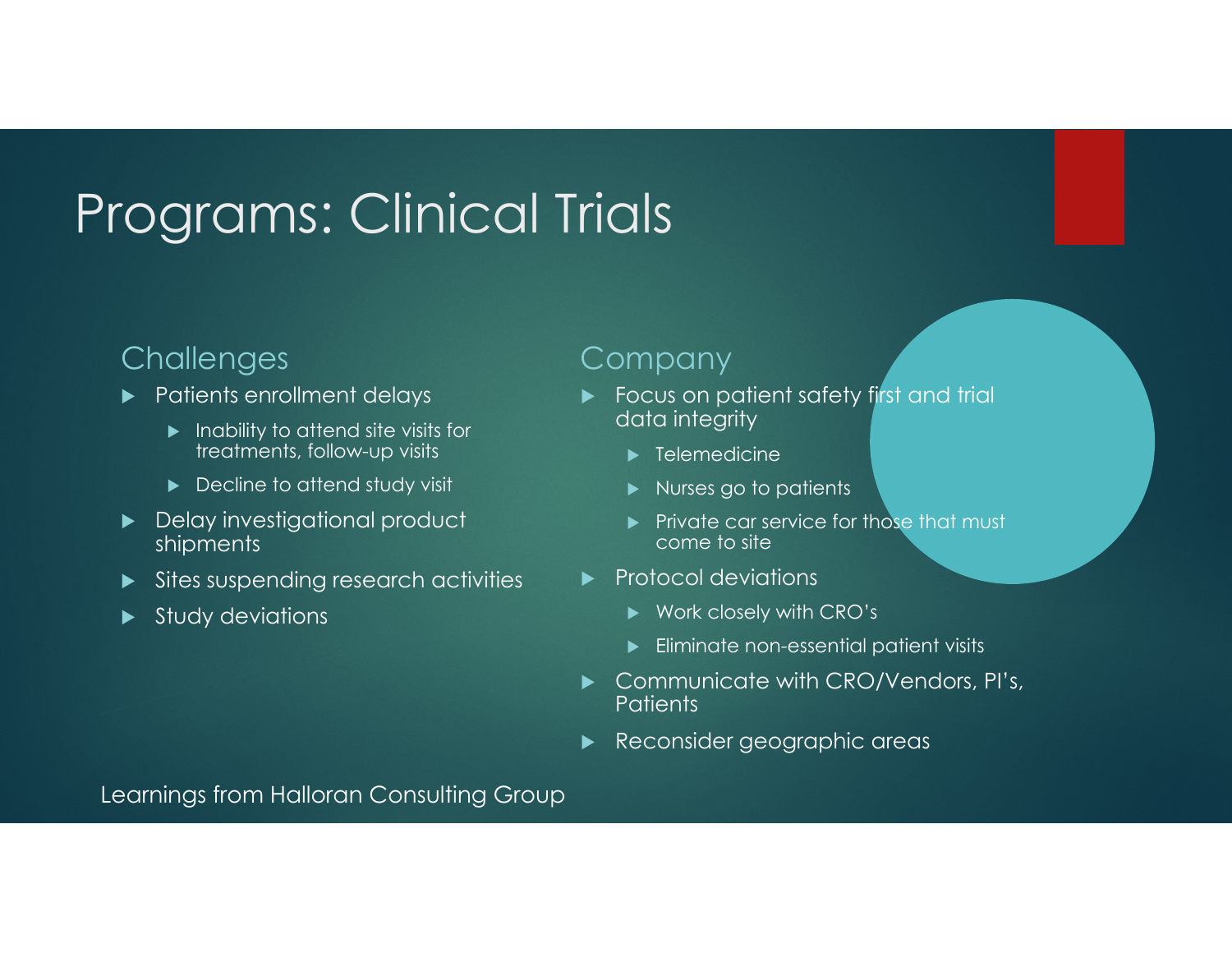# Programs: Clinical Trials

#### **Challenges**

- $\blacktriangleright$  Patients enrollment delays
	- $\blacktriangleright$  Inability to attend site visits for treatments, follow-up visits
	- **Decline to attend study visit**
- Delay investigational product shipments
- $\blacktriangleright$ Sites suspending research activities
- **Study deviations**

#### Company

- $\blacktriangleright$ **Focus on patient safety first and trial** data integrity
	- $\blacktriangleright$  Telemedicine
	- **Nurses go to patients**
	- **Private car service for those that must** come to site
- $\blacktriangleright$  Protocol deviations
	- ▶ Work closely with CRO's
	- $\blacktriangleright$  Eliminate non-essential patient visits
- $\blacktriangleright$  Communicate with CRO/Vendors, PI's, **Patients**
- $\blacktriangleright$ Reconsider geographic areas

Learnings from Halloran Consulting Group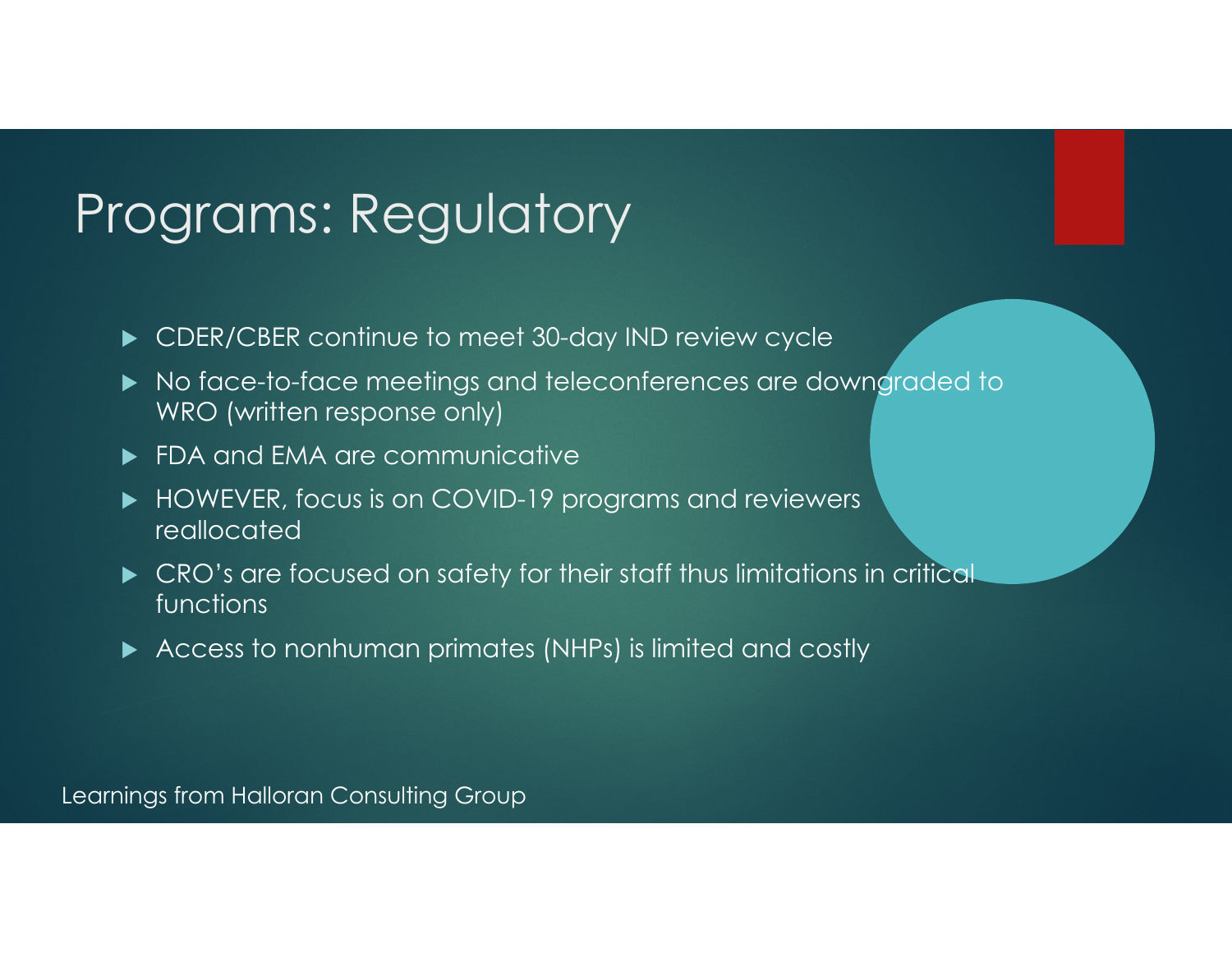### Programs: Regulatory

- CDER/CBER continue to meet 30-day IND review cycle
- $\blacktriangleright$  No face-to-face meetings and teleconferences are downgraded to WRO (written response only)
- FDA and EMA are communicative
- HOWEVER, focus is on COVID-19 programs and reviewers reallocated
- **CRO's are focused on safety for their staff thus limitations in critical** functions
- Access to nonhuman primates (NHPs) is limited and costly

Learnings from Halloran Consulting Group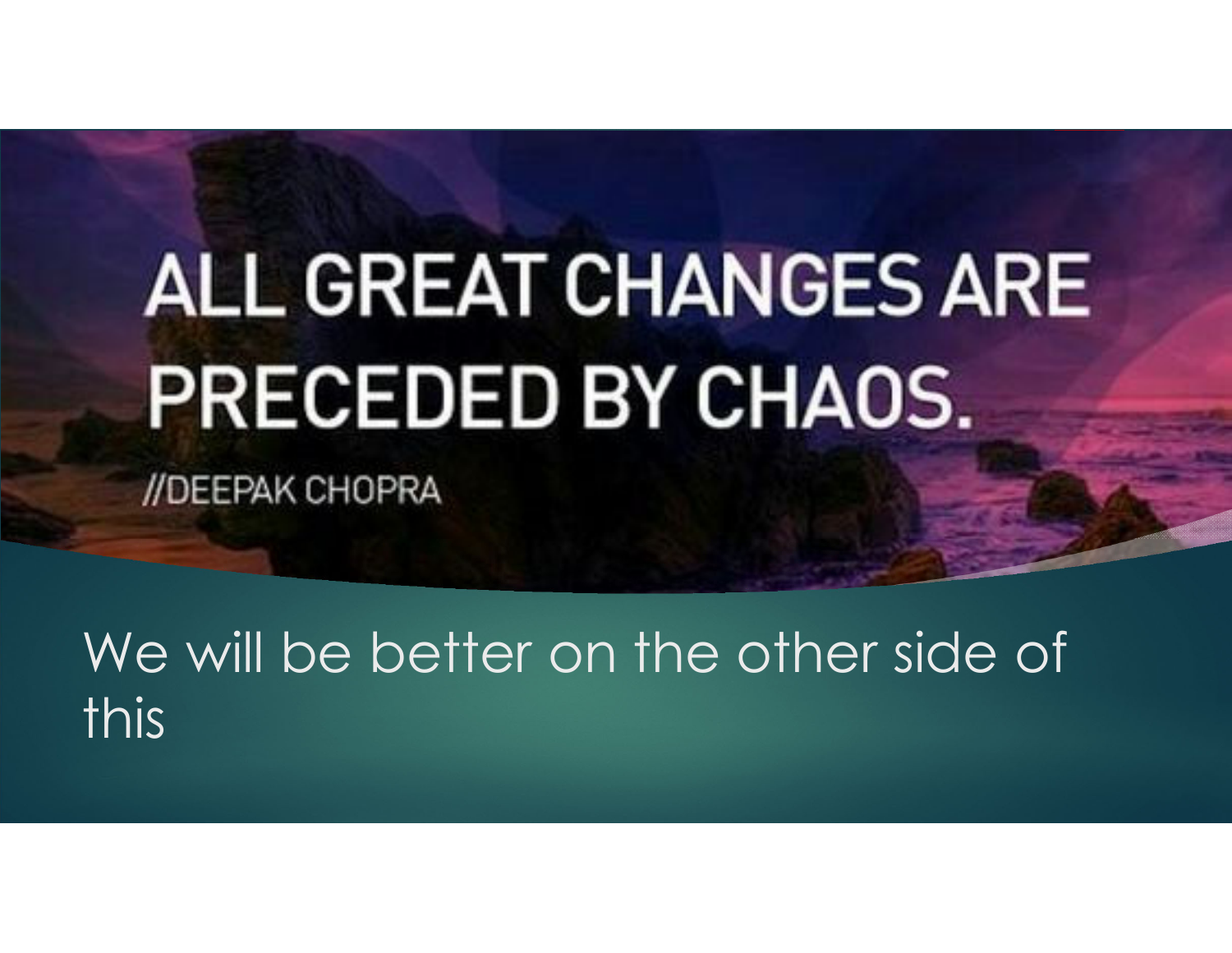# **ALL GREAT CHANGES ARE** PRECEDED BY CHAOS.

//DEEPAK CHOPRA

We will be better on the other side of this